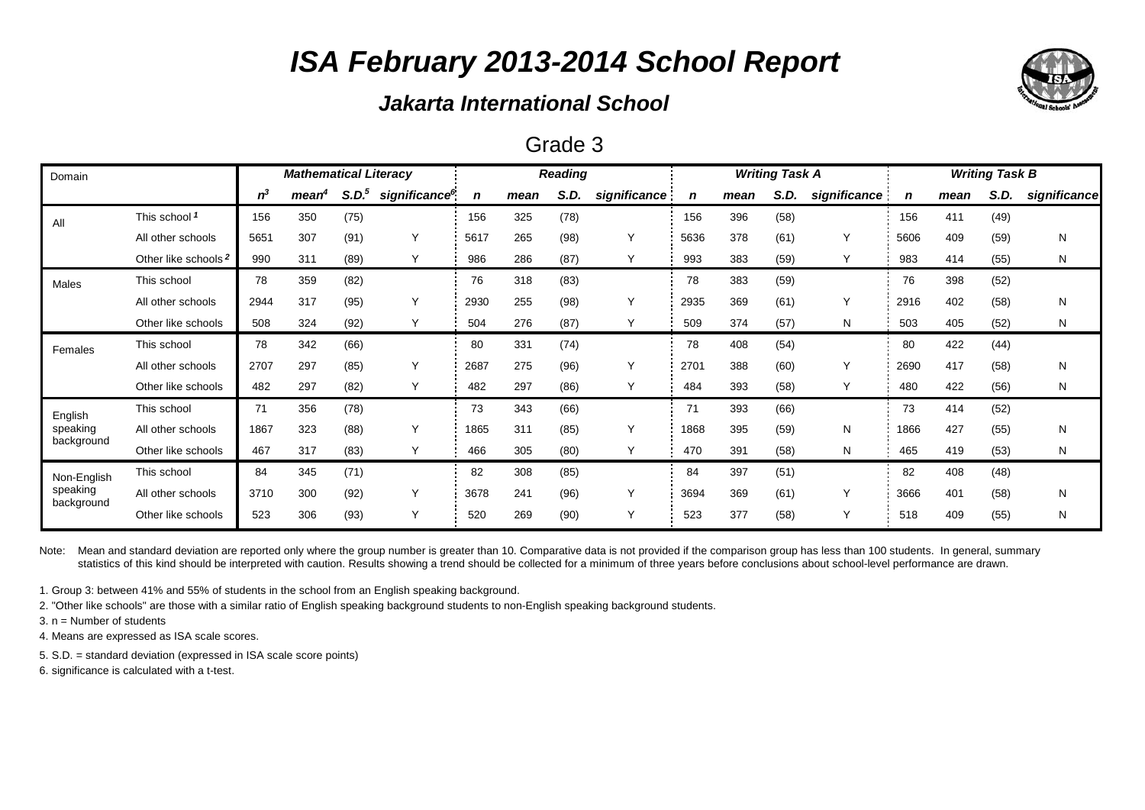### *Jakarta International School*

#### Grade 3

| Domain                 |                                 | <b>Mathematical Literacy</b> |                   |                   |                           |      | <b>Reading</b> |      |              |      | <b>Writing Task A</b> |      | <b>Writing Task B</b> |      |      |      |              |
|------------------------|---------------------------------|------------------------------|-------------------|-------------------|---------------------------|------|----------------|------|--------------|------|-----------------------|------|-----------------------|------|------|------|--------------|
|                        |                                 | $n^3$                        | mean <sup>4</sup> | S.D. <sup>5</sup> | significance <sup>6</sup> | n    | mean           | S.D. | significance |      | mean                  | S.D. | significance          | n    | mean | S.D. | significance |
| All                    | This school 1                   | 156                          | 350               | (75)              |                           | 156  | 325            | (78) |              | 156  | 396                   | (58) |                       | 156  | 411  | (49) |              |
|                        | All other schools               | 5651                         | 307               | (91)              |                           | 5617 | 265            | (98) | Y            | 5636 | 378                   | (61) | Y                     | 5606 | 409  | (59) | N            |
|                        | Other like schools <sup>2</sup> | 990                          | 311               | (89)              | Y                         | 986  | 286            | (87) | Y            | 993  | 383                   | (59) | Υ                     | 983  | 414  | (55) | N            |
| Males                  | This school                     | 78                           | 359               | (82)              |                           | 76   | 318            | (83) |              | 78   | 383                   | (59) |                       | 76   | 398  | (52) |              |
|                        | All other schools               | 2944                         | 317               | (95)              | Υ                         | 2930 | 255            | (98) | Y            | 2935 | 369                   | (61) | Y                     | 2916 | 402  | (58) | N            |
|                        | Other like schools              | 508                          | 324               | (92)              | Y                         | 504  | 276            | (87) | Υ            | 509  | 374                   | (57) | N                     | 503  | 405  | (52) | N            |
| Females                | This school                     | 78                           | 342               | (66)              |                           | 80   | 331            | (74) |              | 78   | 408                   | (54) |                       | 80   | 422  | (44) |              |
|                        | All other schools               | 2707                         | 297               | (85)              | Υ                         | 2687 | 275            | (96) | Y            | 2701 | 388                   | (60) | Υ                     | 2690 | 417  | (58) | N            |
|                        | Other like schools              | 482                          | 297               | (82)              | Υ                         | 482  | 297            | (86) | Υ            | 484  | 393                   | (58) | Υ                     | 480  | 422  | (56) | N            |
| English                | This school                     | 71                           | 356               | (78)              |                           | 73   | 343            | (66) |              | 71   | 393                   | (66) |                       | 73   | 414  | (52) |              |
| speaking               | All other schools               | 1867                         | 323               | (88)              | Y                         | 1865 | 311            | (85) | Y            | 1868 | 395                   | (59) | N                     | 1866 | 427  | (55) | N            |
| background             | Other like schools              | 467                          | 317               | (83)              | Υ                         | 466  | 305            | (80) | Υ            | 470  | 391                   | (58) | N                     | 465  | 419  | (53) | N            |
| Non-English            | This school                     | 84                           | 345               | (71)              |                           | 82   | 308            | (85) |              | 84   | 397                   | (51) |                       | 82   | 408  | (48) |              |
| speaking<br>background | All other schools               | 3710                         | 300               | (92)              | Y                         | 3678 | 241            | (96) | Y            | 3694 | 369                   | (61) | $\checkmark$          | 3666 | 401  | (58) | N            |
|                        | Other like schools              | 523                          | 306               | (93)              | Υ                         | 520  | 269            | (90) | Υ            | 523  | 377                   | (58) | Υ                     | 518  | 409  | (55) | N            |

Note: Mean and standard deviation are reported only where the group number is greater than 10. Comparative data is not provided if the comparison group has less than 100 students. In general, summary statistics of this kind should be interpreted with caution. Results showing a trend should be collected for a minimum of three years before conclusions about school-level performance are drawn.

1. Group 3: between 41% and 55% of students in the school from an English speaking background.

2. "Other like schools" are those with a similar ratio of English speaking background students to non-English speaking background students.

3. n = Number of students

4. Means are expressed as ISA scale scores.

5. S.D. = standard deviation (expressed in ISA scale score points)

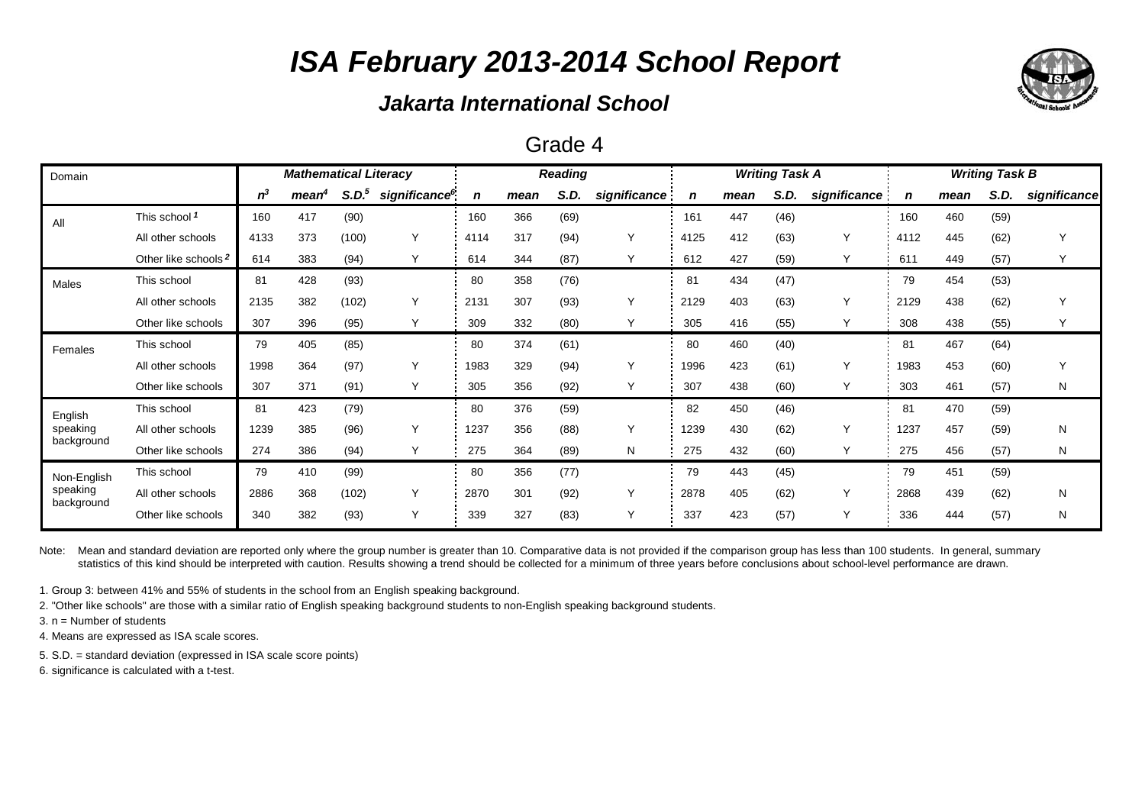### *Jakarta International School*

| Grade 4 |  |
|---------|--|
|---------|--|

| Domain                 |                                 | <b>Mathematical Literacy</b> |                   |                   |                           |             | <b>Reading</b> |      |              |      | <b>Writing Task A</b> |      | <b>Writing Task B</b> |      |      |      |              |
|------------------------|---------------------------------|------------------------------|-------------------|-------------------|---------------------------|-------------|----------------|------|--------------|------|-----------------------|------|-----------------------|------|------|------|--------------|
|                        |                                 | $n^3$                        | mean <sup>4</sup> | S.D. <sup>5</sup> | significance <sup>6</sup> | $\mathbf n$ | mean           | S.D. | significance | n    | mean                  | S.D. | significance          | n    | mean | S.D. | significance |
| All                    | This school 1                   | 160                          | 417               | (90)              |                           | 160         | 366            | (69) |              | 161  | 447                   | (46) |                       | 160  | 460  | (59) |              |
|                        | All other schools               | 4133                         | 373               | (100)             | Υ                         | 4114        | 317            | (94) | Y            | 4125 | 412                   | (63) | $\vee$                | 4112 | 445  | (62) | Υ            |
|                        | Other like schools <sup>2</sup> | 614                          | 383               | (94)              | Y                         | 614         | 344            | (87) | Y            | 612  | 427                   | (59) | Y                     | 611  | 449  | (57) | Y            |
| <b>Males</b>           | This school                     | 81                           | 428               | (93)              |                           | 80          | 358            | (76) |              | 81   | 434                   | (47) |                       | 79   | 454  | (53) |              |
|                        | All other schools               | 2135                         | 382               | (102)             | Υ                         | 2131        | 307            | (93) | Y            | 2129 | 403                   | (63) | Υ                     | 2129 | 438  | (62) | Υ            |
|                        | Other like schools              | 307                          | 396               | (95)              | Y                         | 309         | 332            | (80) | Y            | 305  | 416                   | (55) | Y                     | 308  | 438  | (55) | Y            |
| Females                | This school                     | 79                           | 405               | (85)              |                           | 80          | 374            | (61) |              | 80   | 460                   | (40) |                       | 81   | 467  | (64) |              |
|                        | All other schools               | 1998                         | 364               | (97)              | Υ                         | 1983        | 329            | (94) | Y            | 1996 | 423                   | (61) | $\checkmark$          | 1983 | 453  | (60) | Y            |
|                        | Other like schools              | 307                          | 371               | (91)              | Y                         | 305         | 356            | (92) | Y            | 307  | 438                   | (60) | Υ                     | 303  | 461  | (57) | N            |
| English                | This school                     | 81                           | 423               | (79)              |                           | 80          | 376            | (59) |              | 82   | 450                   | (46) |                       | 81   | 470  | (59) |              |
| speaking               | All other schools               | 1239                         | 385               | (96)              | Υ                         | 1237        | 356            | (88) | Y            | 1239 | 430                   | (62) | Y                     | 1237 | 457  | (59) | N            |
| background             | Other like schools              | 274                          | 386               | (94)              | Y                         | 275         | 364            | (89) | N            | 275  | 432                   | (60) | Υ                     | 275  | 456  | (57) | N            |
| Non-English            | This school                     | 79                           | 410               | (99)              |                           | 80          | 356            | (77) |              | 79   | 443                   | (45) |                       | 79   | 451  | (59) |              |
| speaking<br>background | All other schools               | 2886                         | 368               | (102)             | Υ                         | 2870        | 301            | (92) | Y            | 2878 | 405                   | (62) | Y                     | 2868 | 439  | (62) | N            |
|                        | Other like schools              | 340                          | 382               | (93)              | Y                         | 339         | 327            | (83) | Υ            | 337  | 423                   | (57) | $\checkmark$          | 336  | 444  | (57) | N            |

Note: Mean and standard deviation are reported only where the group number is greater than 10. Comparative data is not provided if the comparison group has less than 100 students. In general, summary statistics of this kind should be interpreted with caution. Results showing a trend should be collected for a minimum of three years before conclusions about school-level performance are drawn.

1. Group 3: between 41% and 55% of students in the school from an English speaking background.

2. "Other like schools" are those with a similar ratio of English speaking background students to non-English speaking background students.

3. n = Number of students

4. Means are expressed as ISA scale scores.

5. S.D. = standard deviation (expressed in ISA scale score points)

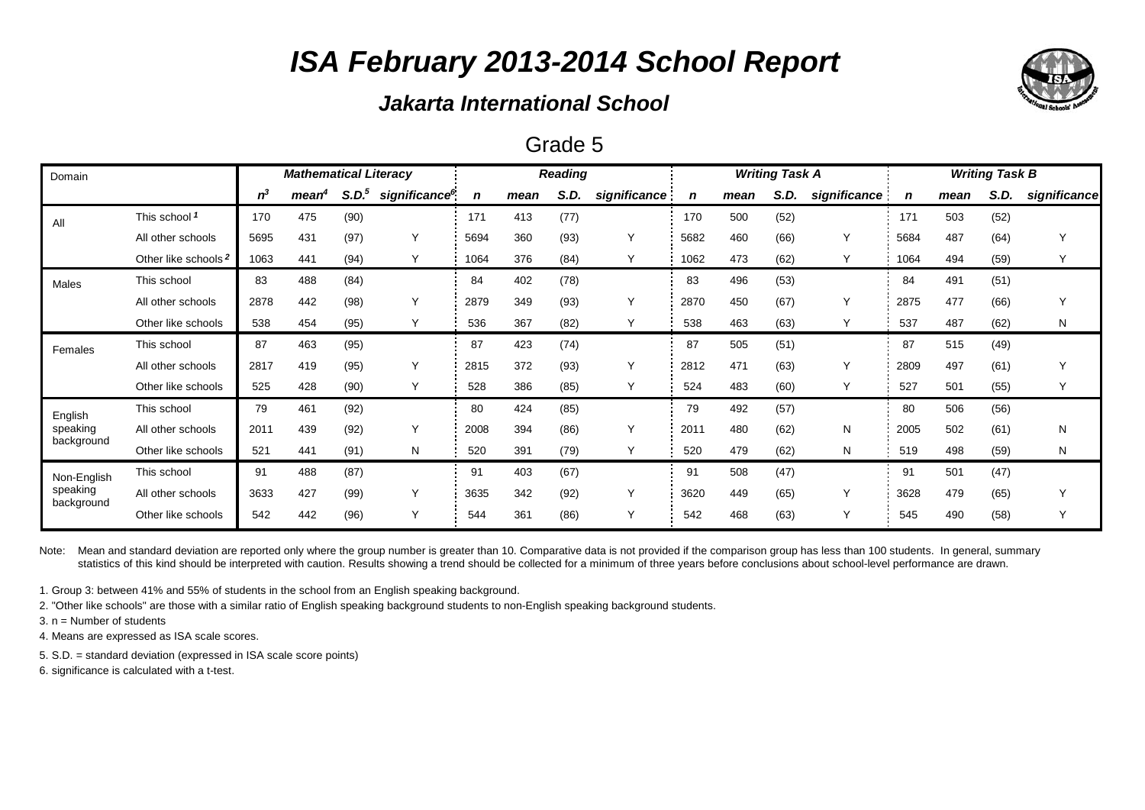### *Jakarta International School*

### Grade 5

| Domain                 | <b>Mathematical Literacy</b>    |       |                   |                   |                           | <b>Reading</b> |      |      |              | <b>Writing Task A</b> |      | <b>Writing Task B</b> |              |      |      |      |              |
|------------------------|---------------------------------|-------|-------------------|-------------------|---------------------------|----------------|------|------|--------------|-----------------------|------|-----------------------|--------------|------|------|------|--------------|
|                        |                                 | $n^3$ | mean <sup>4</sup> | S.D. <sup>5</sup> | significance <sup>6</sup> | n              | mean | S.D. | significance |                       | mean | S.D.                  | significance | n    | mean | S.D. | significance |
| All                    | This school 1                   | 170   | 475               | (90)              |                           | 171            | 413  | (77) |              | 170                   | 500  | (52)                  |              | 171  | 503  | (52) |              |
|                        | All other schools               | 5695  | 431               | (97)              | Y                         | 5694           | 360  | (93) | Y            | 5682                  | 460  | (66)                  | $\checkmark$ | 5684 | 487  | (64) | $\checkmark$ |
|                        | Other like schools <sup>2</sup> | 1063  | 441               | (94)              | Υ                         | 1064           | 376  | (84) | Υ            | 1062                  | 473  | (62)                  |              | 1064 | 494  | (59) |              |
| Males                  | This school                     | 83    | 488               | (84)              |                           | 84             | 402  | (78) |              | 83                    | 496  | (53)                  |              | 84   | 491  | (51) |              |
|                        | All other schools               | 2878  | 442               | (98)              | $\checkmark$              | 2879           | 349  | (93) | Y            | 2870                  | 450  | (67)                  | $\checkmark$ | 2875 | 477  | (66) | Y            |
|                        | Other like schools              | 538   | 454               | (95)              | Y                         | 536            | 367  | (82) | Y            | 538                   | 463  | (63)                  | Υ            | 537  | 487  | (62) | N            |
| Females                | This school                     | 87    | 463               | (95)              |                           | 87             | 423  | (74) |              | 87                    | 505  | (51)                  |              | 87   | 515  | (49) |              |
|                        | All other schools               | 2817  | 419               | (95)              | Υ                         | 2815           | 372  | (93) | Y            | 2812                  | 471  | (63)                  | $\checkmark$ | 2809 | 497  | (61) | Υ            |
|                        | Other like schools              | 525   | 428               | (90)              | Y                         | 528            | 386  | (85) | Y            | 524                   | 483  | (60)                  | Υ            | 527  | 501  | (55) | Y            |
| English                | This school                     | 79    | 461               | (92)              |                           | 80             | 424  | (85) |              | 79                    | 492  | (57)                  |              | 80   | 506  | (56) |              |
| speaking               | All other schools               | 2011  | 439               | (92)              | Υ                         | 2008           | 394  | (86) | Y            | 2011                  | 480  | (62)                  | N            | 2005 | 502  | (61) | N            |
| background             | Other like schools              | 521   | 441               | (91)              | N                         | 520            | 391  | (79) | Y            | 520                   | 479  | (62)                  | N            | 519  | 498  | (59) | N            |
| Non-English            | This school                     | 91    | 488               | (87)              |                           | 91             | 403  | (67) |              | 91                    | 508  | (47)                  |              | 91   | 501  | (47) |              |
| speaking<br>background | All other schools               | 3633  | 427               | (99)              | Υ                         | 3635           | 342  | (92) | Υ            | 3620                  | 449  | (65)                  | $\checkmark$ | 3628 | 479  | (65) | Y            |
|                        | Other like schools              | 542   | 442               | (96)              | Y                         | 544            | 361  | (86) | Y            | 542                   | 468  | (63)                  | $\checkmark$ | 545  | 490  | (58) | Y            |

Note: Mean and standard deviation are reported only where the group number is greater than 10. Comparative data is not provided if the comparison group has less than 100 students. In general, summary statistics of this kind should be interpreted with caution. Results showing a trend should be collected for a minimum of three years before conclusions about school-level performance are drawn.

1. Group 3: between 41% and 55% of students in the school from an English speaking background.

2. "Other like schools" are those with a similar ratio of English speaking background students to non-English speaking background students.

3. n = Number of students

4. Means are expressed as ISA scale scores.

5. S.D. = standard deviation (expressed in ISA scale score points)

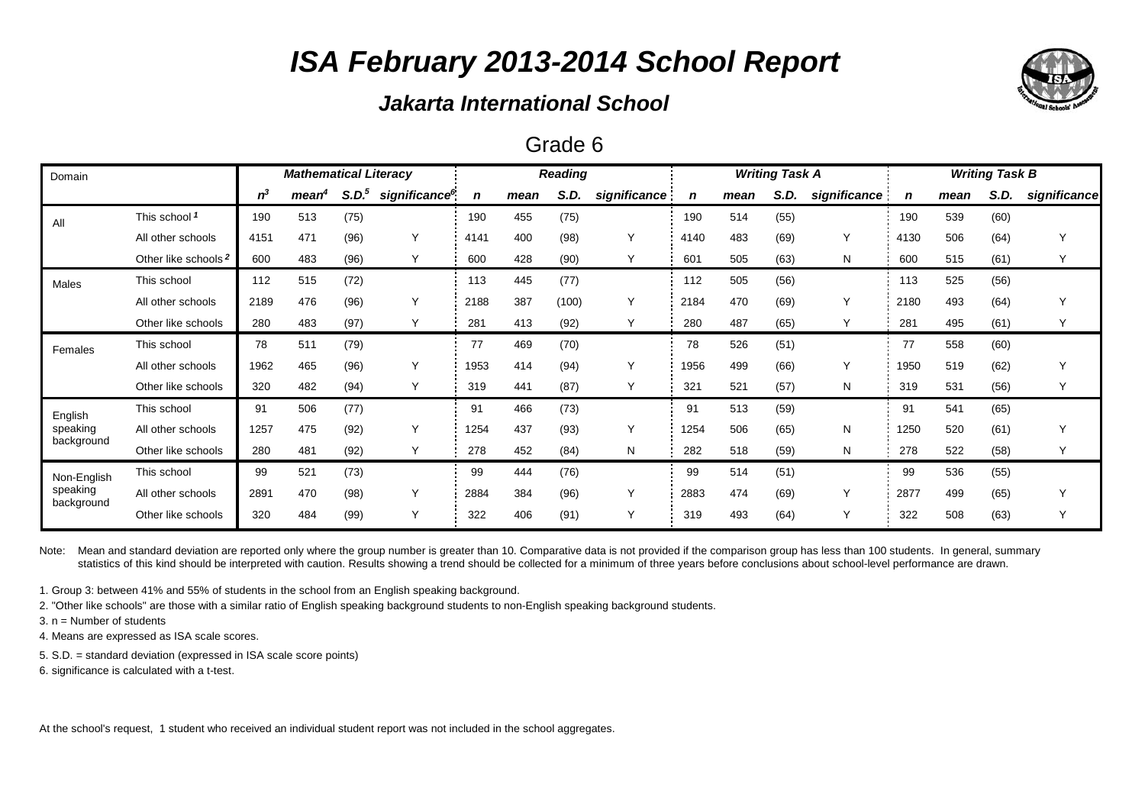### *Jakarta International School*

### Grade 6

| Domain                 | <b>Mathematical Literacy</b>    |       |                   |                   |                           | <b>Reading</b> |      |       |              | <b>Writing Task A</b> |      | <b>Writing Task B</b> |              |      |      |      |              |
|------------------------|---------------------------------|-------|-------------------|-------------------|---------------------------|----------------|------|-------|--------------|-----------------------|------|-----------------------|--------------|------|------|------|--------------|
|                        |                                 | $n^3$ | mean <sup>4</sup> | S.D. <sup>5</sup> | significance <sup>6</sup> | n              | mean | S.D.  | significance | n                     | mean | S.D.                  | significance | n    | mean | S.D. | significance |
| All                    | This school 1                   | 190   | 513               | (75)              |                           | 190            | 455  | (75)  |              | 190                   | 514  | (55)                  |              | 190  | 539  | (60) |              |
|                        | All other schools               | 4151  | 471               | (96)              | Υ                         | 4141           | 400  | (98)  | Y            | 4140                  | 483  | (69)                  | $\checkmark$ | 4130 | 506  | (64) | $\checkmark$ |
|                        | Other like schools <sup>2</sup> | 600   | 483               | (96)              | Υ                         | 600            | 428  | (90)  | Y            | 601                   | 505  | (63)                  | Ν            | 600  | 515  | (61) |              |
| Males                  | This school                     | 112   | 515               | (72)              |                           | 113            | 445  | (77)  |              | 112                   | 505  | (56)                  |              | 13   | 525  | (56) |              |
|                        | All other schools               | 2189  | 476               | (96)              | Υ                         | 2188           | 387  | (100) | Y            | 2184                  | 470  | (69)                  | Y            | 2180 | 493  | (64) |              |
|                        | Other like schools              | 280   | 483               | (97)              | Υ                         | 281            | 413  | (92)  | Υ            | 280                   | 487  | (65)                  | $\checkmark$ | 281  | 495  | (61) |              |
| Females                | This school                     | 78    | 511               | (79)              |                           | 77             | 469  | (70)  |              | 78                    | 526  | (51)                  |              | 77   | 558  | (60) |              |
|                        | All other schools               | 1962  | 465               | (96)              | Υ                         | 1953           | 414  | (94)  | Y            | 1956                  | 499  | (66)                  | $\checkmark$ | 1950 | 519  | (62) | Υ            |
|                        | Other like schools              | 320   | 482               | (94)              | Y                         | 319            | 441  | (87)  | Y            | 321                   | 521  | (57)                  | N            | 319  | 531  | (56) | Y            |
| English                | This school                     | 91    | 506               | (77)              |                           | 91             | 466  | (73)  |              | 91                    | 513  | (59)                  |              | 91   | 541  | (65) |              |
| speaking               | All other schools               | 1257  | 475               | (92)              | Υ                         | 1254           | 437  | (93)  | Y            | 1254                  | 506  | (65)                  | N            | 1250 | 520  | (61) | Υ            |
| background             | Other like schools              | 280   | 481               | (92)              | Υ                         | 278            | 452  | (84)  | N            | 282                   | 518  | (59)                  | N            | 278  | 522  | (58) |              |
| Non-English            | This school                     | 99    | 521               | (73)              |                           | 99             | 444  | (76)  |              | 99                    | 514  | (51)                  |              | 99   | 536  | (55) |              |
| speaking<br>background | All other schools               | 2891  | 470               | (98)              | Υ                         | 2884           | 384  | (96)  | Y            | 2883                  | 474  | (69)                  | $\checkmark$ | 2877 | 499  | (65) | $\checkmark$ |
|                        | Other like schools              | 320   | 484               | (99)              | Y                         | 322            | 406  | (91)  | Υ            | 319                   | 493  | (64)                  | $\checkmark$ | 322  | 508  | (63) | Y            |

Note: Mean and standard deviation are reported only where the group number is greater than 10. Comparative data is not provided if the comparison group has less than 100 students. In general, summary statistics of this kind should be interpreted with caution. Results showing a trend should be collected for a minimum of three years before conclusions about school-level performance are drawn.

1. Group 3: between 41% and 55% of students in the school from an English speaking background.

2. "Other like schools" are those with a similar ratio of English speaking background students to non-English speaking background students.

3. n = Number of students

4. Means are expressed as ISA scale scores.

5. S.D. = standard deviation (expressed in ISA scale score points)

6. significance is calculated with a t-test.

At the school's request, 1 student who received an individual student report was not included in the school aggregates.

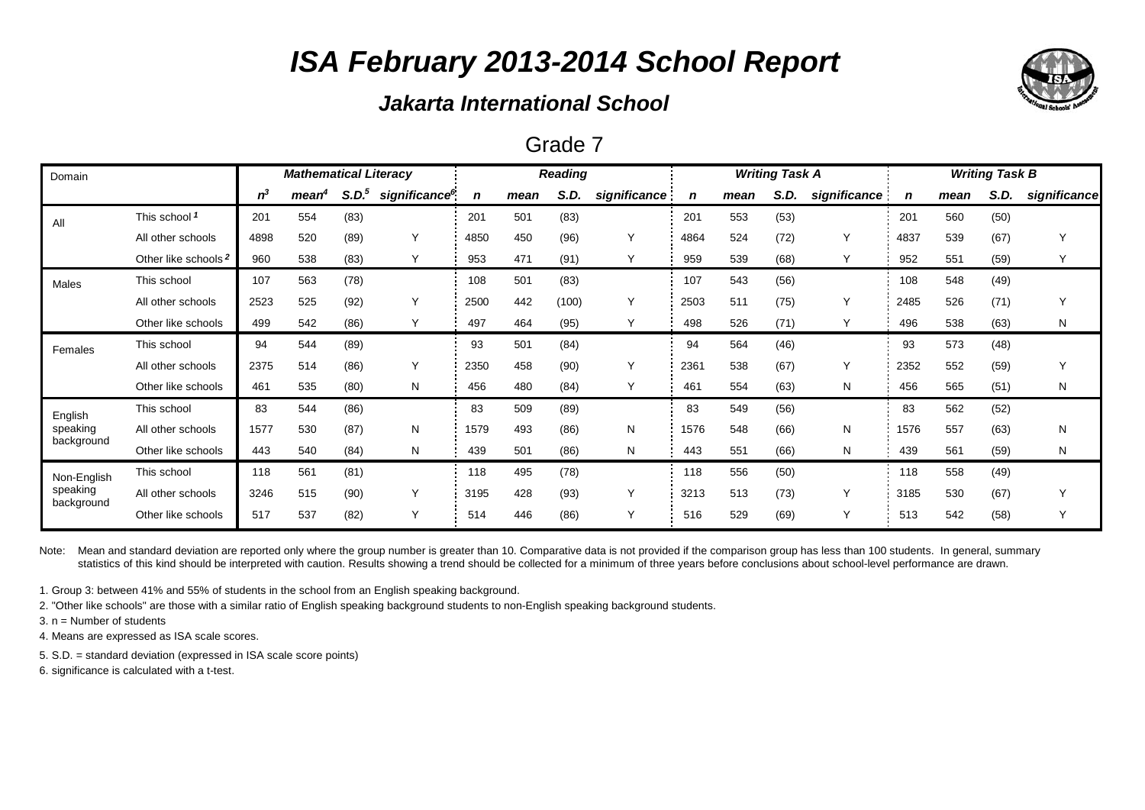## *Jakarta International School*

#### Grade 7

| Domain                                |                                 |       | <b>Mathematical Literacy</b> |                   |                           |      |      | <b>Reading</b> |              |      |      | <b>Writing Task A</b> |              | <b>Writing Task B</b> |      |      |              |  |
|---------------------------------------|---------------------------------|-------|------------------------------|-------------------|---------------------------|------|------|----------------|--------------|------|------|-----------------------|--------------|-----------------------|------|------|--------------|--|
|                                       |                                 | $n^3$ | mean <sup>4</sup>            | S.D. <sup>5</sup> | significance <sup>6</sup> | n    | mean | S.D.           | significance | n    | mean | S.D.                  | significance | n                     | mean | S.D. | significance |  |
| All                                   | This school 1                   | 201   | 554                          | (83)              |                           | 201  | 501  | (83)           |              | 201  | 553  | (53)                  |              | 201                   | 560  | (50) |              |  |
|                                       | All other schools               | 4898  | 520                          | (89)              | $\checkmark$              | 4850 | 450  | (96)           | Y            | 4864 | 524  | (72)                  | Y            | 4837                  | 539  | (67) | Υ            |  |
|                                       | Other like schools <sup>2</sup> | 960   | 538                          | (83)              | Υ                         | 953  | 471  | (91)           | Υ            | 959  | 539  | (68)                  | Y            | 952                   | 551  | (59) | Υ            |  |
| Males                                 | This school                     | 107   | 563                          | (78)              |                           | 108  | 501  | (83)           |              | 107  | 543  | (56)                  |              | 108                   | 548  | (49) |              |  |
|                                       | All other schools               | 2523  | 525                          | (92)              | ٧                         | 2500 | 442  | (100)          | Y            | 2503 | 511  | (75)                  | Y            | 2485                  | 526  | (71) | Υ            |  |
|                                       | Other like schools              | 499   | 542                          | (86)              | Υ                         | 497  | 464  | (95)           | Υ            | 498  | 526  | (71)                  | Y            | 496                   | 538  | (63) | N            |  |
| Females                               | This school                     | 94    | 544                          | (89)              |                           | 93   | 501  | (84)           |              | 94   | 564  | (46)                  |              | 93                    | 573  | (48) |              |  |
|                                       | All other schools               | 2375  | 514                          | (86)              | ٧                         | 2350 | 458  | (90)           | Y            | 2361 | 538  | (67)                  | Y            | 2352                  | 552  | (59) | Y            |  |
|                                       | Other like schools              | 461   | 535                          | (80)              | N                         | 456  | 480  | (84)           | Υ            | 461  | 554  | (63)                  | N            | 456                   | 565  | (51) | N            |  |
| English                               | This school                     | 83    | 544                          | (86)              |                           | 83   | 509  | (89)           |              | 83   | 549  | (56)                  |              | 83                    | 562  | (52) |              |  |
| speaking                              | All other schools               | 1577  | 530                          | (87)              | N                         | 1579 | 493  | (86)           | N            | 1576 | 548  | (66)                  | N            | 1576                  | 557  | (63) | N            |  |
| background                            | Other like schools              | 443   | 540                          | (84)              | N                         | 439  | 501  | (86)           | N            | 443  | 551  | (66)                  | N            | 439                   | 561  | (59) | N            |  |
| Non-English<br>speaking<br>background | This school                     | 118   | 561                          | (81)              |                           | 118  | 495  | (78)           |              | 118  | 556  | (50)                  |              | 118                   | 558  | (49) |              |  |
|                                       | All other schools               | 3246  | 515                          | (90)              | Υ                         | 3195 | 428  | (93)           | Υ            | 3213 | 513  | (73)                  | Y            | 3185                  | 530  | (67) | Y            |  |
|                                       | Other like schools              | 517   | 537                          | (82)              | Υ                         | 514  | 446  | (86)           | Υ            | 516  | 529  | (69)                  | Y            | 513                   | 542  | (58) | Y            |  |

Note: Mean and standard deviation are reported only where the group number is greater than 10. Comparative data is not provided if the comparison group has less than 100 students. In general, summary statistics of this kind should be interpreted with caution. Results showing a trend should be collected for a minimum of three years before conclusions about school-level performance are drawn.

1. Group 3: between 41% and 55% of students in the school from an English speaking background.

2. "Other like schools" are those with a similar ratio of English speaking background students to non-English speaking background students.

3. n = Number of students

4. Means are expressed as ISA scale scores.

5. S.D. = standard deviation (expressed in ISA scale score points)

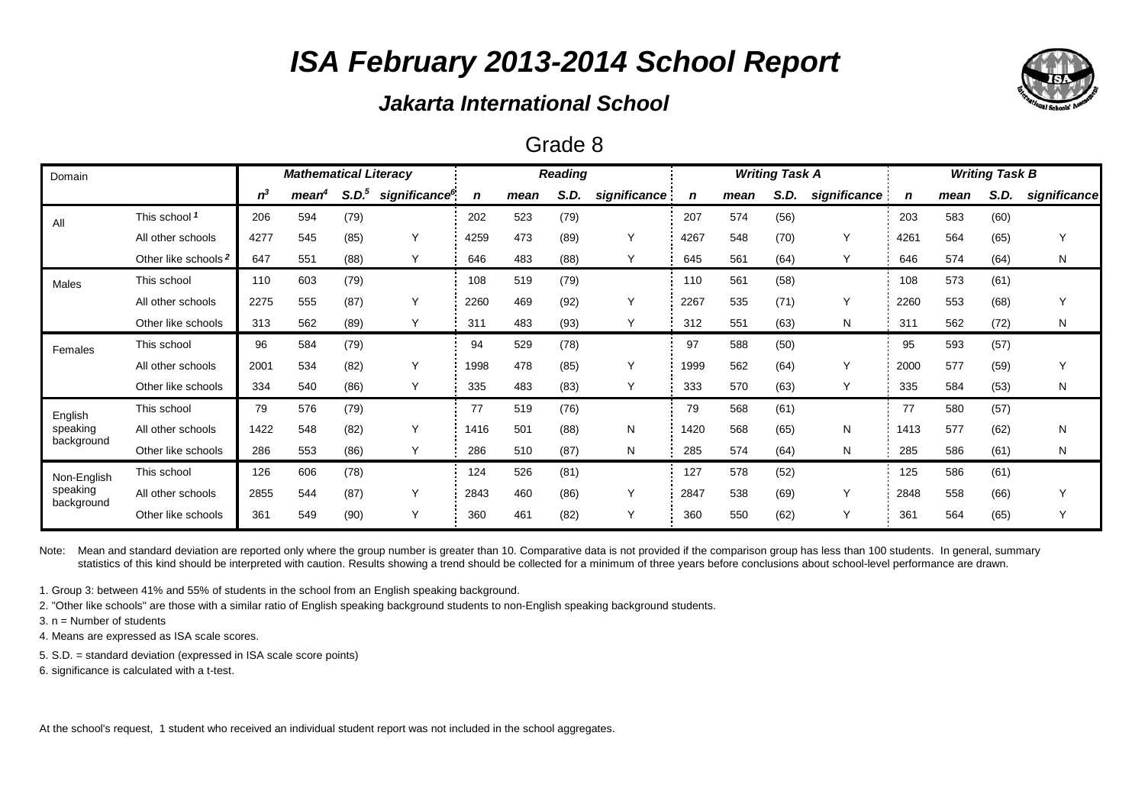### *Jakarta International School*

#### Grade 8

| Domain                 |                                 | <b>Mathematical Literacy</b> |      |                   |                           |             | <b>Reading</b> |      |              |      | <b>Writing Task A</b> |      | <b>Writing Task B</b> |      |      |      |              |
|------------------------|---------------------------------|------------------------------|------|-------------------|---------------------------|-------------|----------------|------|--------------|------|-----------------------|------|-----------------------|------|------|------|--------------|
|                        |                                 | $n^3$                        | mean | S.D. <sup>5</sup> | significance <sup>6</sup> | $\mathbf n$ | mean           | S.D. | significance | n    | mean                  | S.D. | significance          | n    | mean | S.D. | significance |
| All                    | This school 1                   | 206                          | 594  | (79)              |                           | 202         | 523            | (79) |              | 207  | 574                   | (56) |                       | 203  | 583  | (60) |              |
|                        | All other schools               | 4277                         | 545  | (85)              | $\checkmark$              | 4259        | 473            | (89) | Y            | 4267 | 548                   | (70) | $\vee$                | 4261 | 564  | (65) |              |
|                        | Other like schools <sup>2</sup> | 647                          | 551  | (88)              | Υ                         | 646         | 483            | (88) | Υ            | 645  | 561                   | (64) |                       | 646  | 574  | (64) | N            |
| <b>Males</b>           | This school                     | 110                          | 603  | (79)              |                           | 108         | 519            | (79) |              | 110  | 561                   | (58) |                       | 108  | 573  | (61) |              |
|                        | All other schools               | 2275                         | 555  | (87)              | Υ                         | 2260        | 469            | (92) | Y            | 2267 | 535                   | (71) | Y                     | 2260 | 553  | (68) |              |
|                        | Other like schools              | 313                          | 562  | (89)              | Υ                         | 311         | 483            | (93) | Υ            | 312  | 551                   | (63) | N                     | 311  | 562  | (72) | N            |
| Females                | This school                     | 96                           | 584  | (79)              |                           | 94          | 529            | (78) |              | 97   | 588                   | (50) |                       | 95   | 593  | (57) |              |
|                        | All other schools               | 2001                         | 534  | (82)              | $\checkmark$              | 1998        | 478            | (85) | Y            | 1999 | 562                   | (64) | Y                     | 2000 | 577  | (59) |              |
|                        | Other like schools              | 334                          | 540  | (86)              | Υ                         | 335         | 483            | (83) | Υ            | 333  | 570                   | (63) | Y                     | 335  | 584  | (53) | N            |
| English                | This school                     | 79                           | 576  | (79)              |                           | 77          | 519            | (76) |              | 79   | 568                   | (61) |                       | 77   | 580  | (57) |              |
| speaking               | All other schools               | 1422                         | 548  | (82)              | Υ                         | 1416        | 501            | (88) | N            | 1420 | 568                   | (65) | N                     | 1413 | 577  | (62) | Ν            |
| background             | Other like schools              | 286                          | 553  | (86)              | Υ                         | 286         | 510            | (87) | N            | 285  | 574                   | (64) | N                     | 285  | 586  | (61) | N            |
| Non-English            | This school                     | 126                          | 606  | (78)              |                           | 124         | 526            | (81) |              | 127  | 578                   | (52) |                       | 125  | 586  | (61) |              |
| speaking<br>background | All other schools               | 2855                         | 544  | (87)              | Υ                         | 2843        | 460            | (86) | Y            | 2847 | 538                   | (69) | Y                     | 2848 | 558  | (66) |              |
|                        | Other like schools              | 361                          | 549  | (90)              | Υ                         | 360         | 461            | (82) | Y            | 360  | 550                   | (62) | Y                     | 361  | 564  | (65) | Υ            |

Note: Mean and standard deviation are reported only where the group number is greater than 10. Comparative data is not provided if the comparison group has less than 100 students. In general, summary statistics of this kind should be interpreted with caution. Results showing a trend should be collected for a minimum of three years before conclusions about school-level performance are drawn.

1. Group 3: between 41% and 55% of students in the school from an English speaking background.

2. "Other like schools" are those with a similar ratio of English speaking background students to non-English speaking background students.

3. n = Number of students

4. Means are expressed as ISA scale scores.

5. S.D. = standard deviation (expressed in ISA scale score points)

6. significance is calculated with a t-test.

At the school's request, 1 student who received an individual student report was not included in the school aggregates.

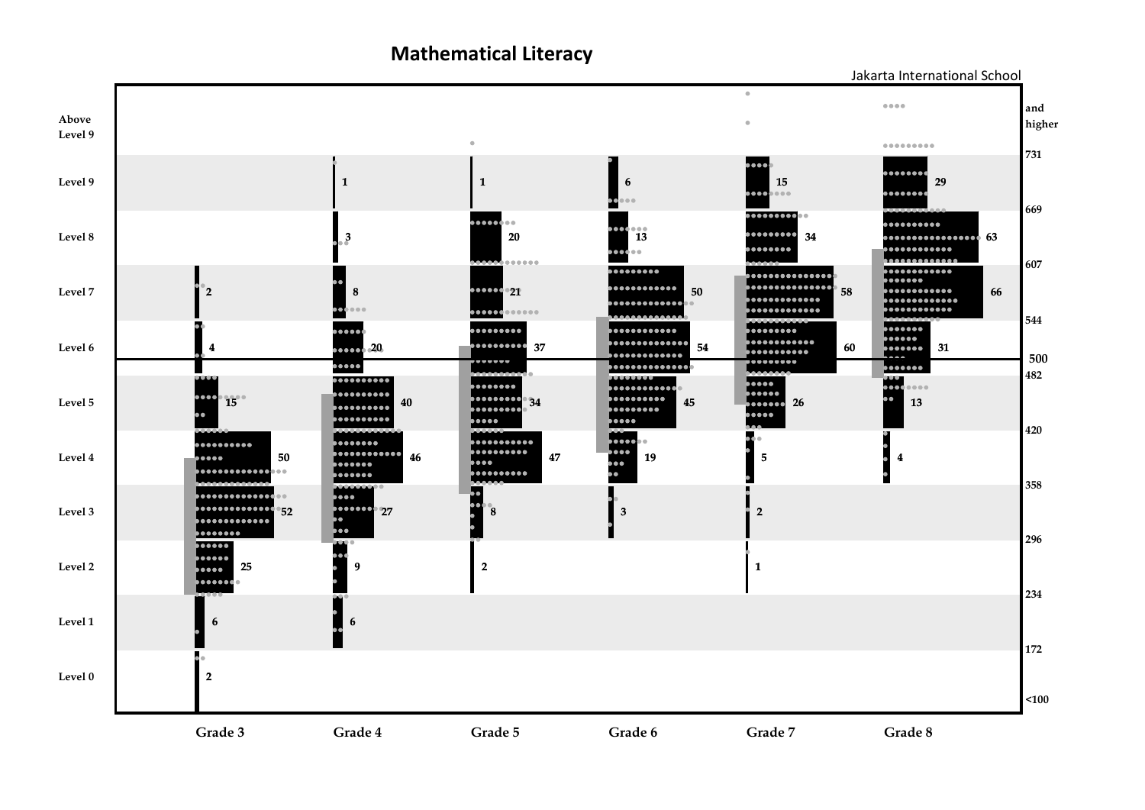**Mathematical Literacy**



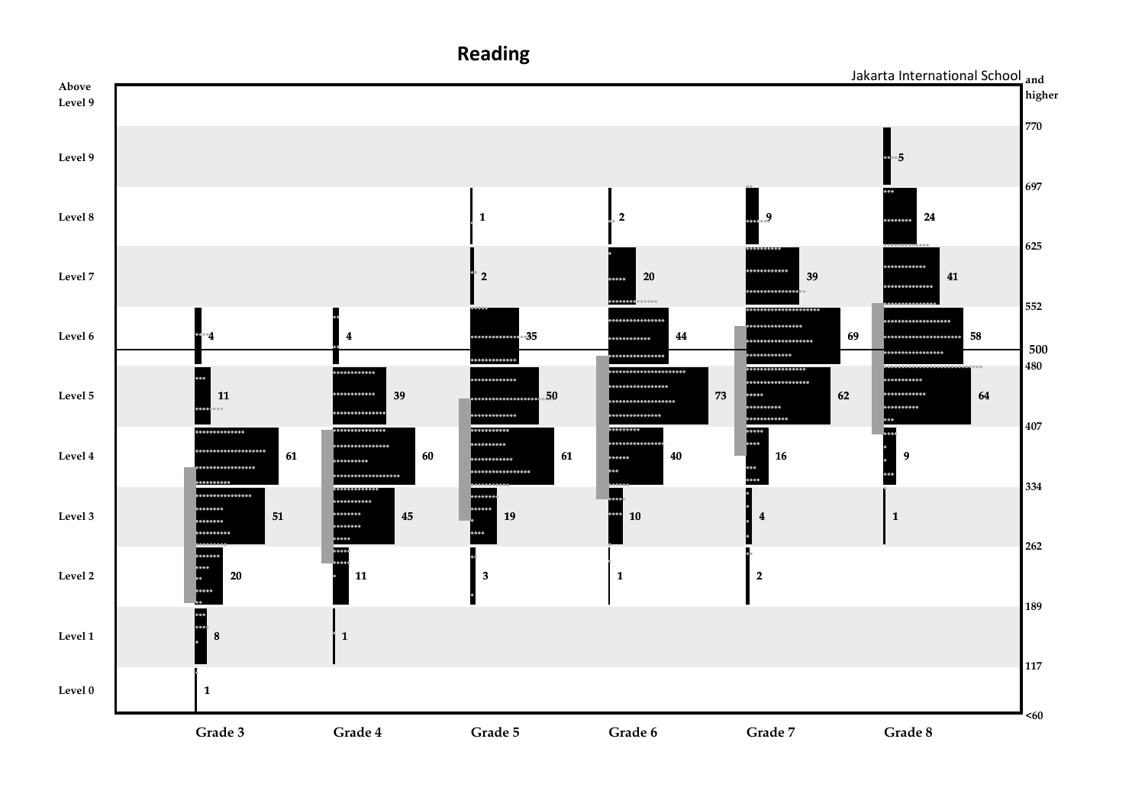

**Reading**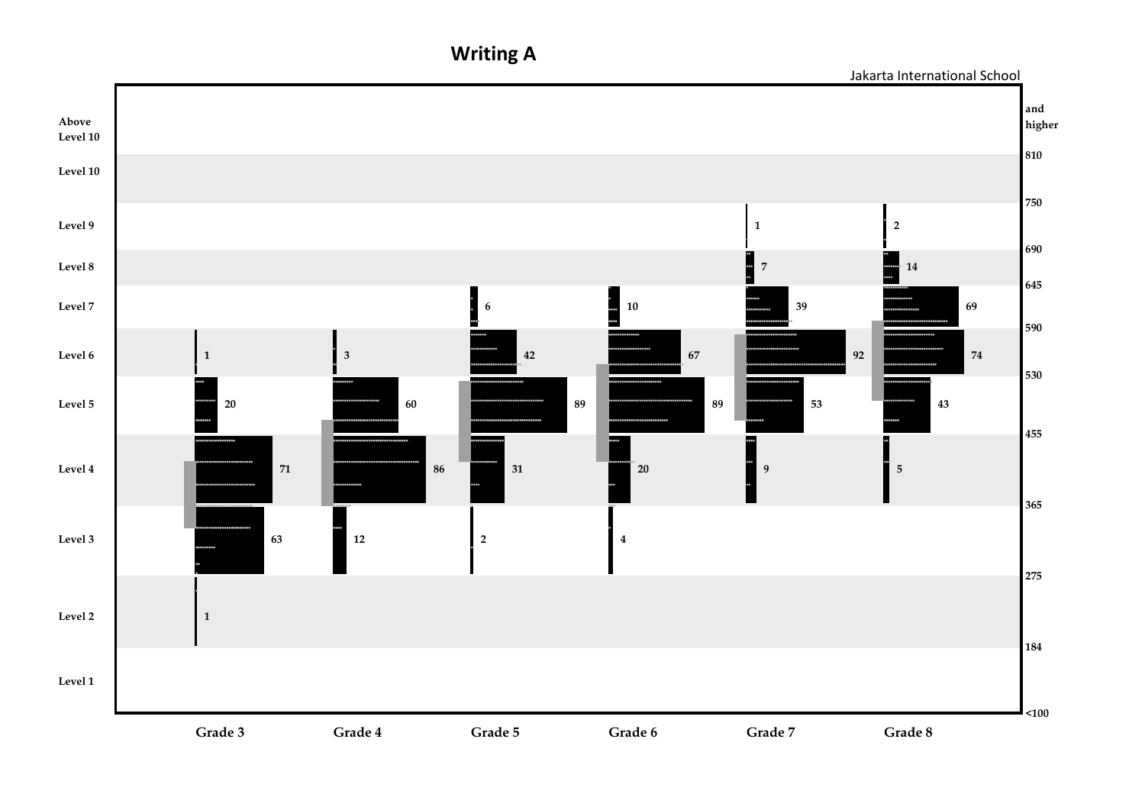**Writing A**